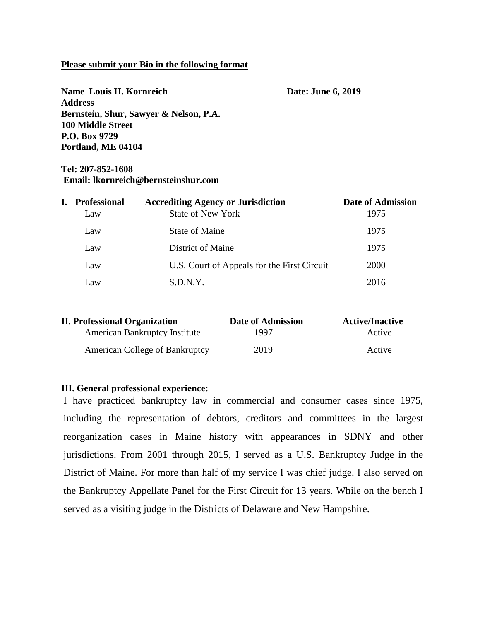#### **Please submit your Bio in the following format**

| Name Louis H. Kornreich                | Date: June 6, 2019 |  |
|----------------------------------------|--------------------|--|
| <b>Address</b>                         |                    |  |
| Bernstein, Shur, Sawyer & Nelson, P.A. |                    |  |
| <b>100 Middle Street</b>               |                    |  |
| P.O. Box 9729                          |                    |  |
| Portland, ME 04104                     |                    |  |

### **Tel: 207-852-1608 Email: lkornreich@bernsteinshur.com**

| L. | <b>Professional</b> | <b>Accrediting Agency or Jurisdiction</b>   | <b>Date of Admission</b> |
|----|---------------------|---------------------------------------------|--------------------------|
|    | Law                 | <b>State of New York</b>                    | 1975                     |
|    | Law                 | State of Maine                              | 1975                     |
|    | Law                 | District of Maine                           | 1975                     |
|    | Law                 | U.S. Court of Appeals for the First Circuit | 2000                     |
|    | Law                 | S.D.N.Y.                                    | 2016                     |

| <b>II. Professional Organization</b>  | Date of Admission | <b>Active/Inactive</b> |
|---------------------------------------|-------------------|------------------------|
| <b>American Bankruptcy Institute</b>  | 1997              | Active                 |
| <b>American College of Bankruptcy</b> | 2019              | Active                 |

#### **III. General professional experience:**

I have practiced bankruptcy law in commercial and consumer cases since 1975, including the representation of debtors, creditors and committees in the largest reorganization cases in Maine history with appearances in SDNY and other jurisdictions. From 2001 through 2015, I served as a U.S. Bankruptcy Judge in the District of Maine. For more than half of my service I was chief judge. I also served on the Bankruptcy Appellate Panel for the First Circuit for 13 years. While on the bench I served as a visiting judge in the Districts of Delaware and New Hampshire.